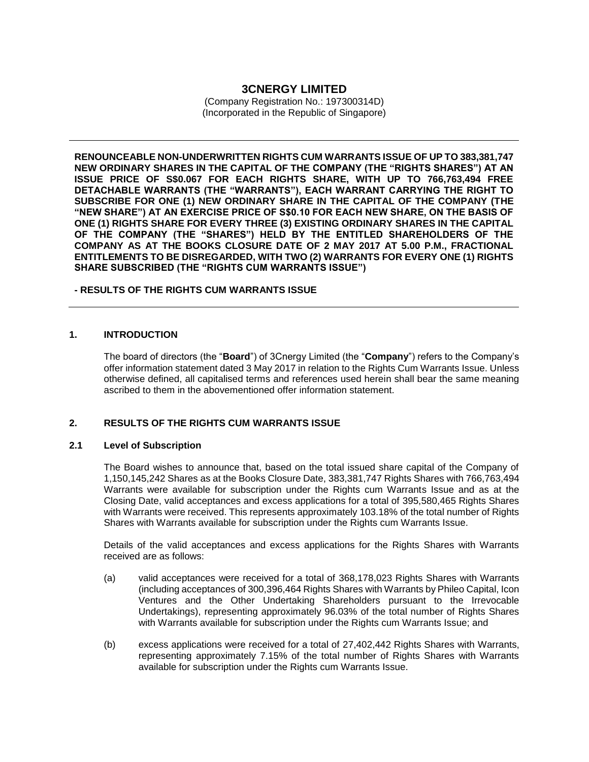# **3CNERGY LIMITED**

(Company Registration No.: 197300314D) (Incorporated in the Republic of Singapore)

**RENOUNCEABLE NON-UNDERWRITTEN RIGHTS CUM WARRANTS ISSUE OF UP TO 383,381,747 NEW ORDINARY SHARES IN THE CAPITAL OF THE COMPANY (THE "RIGHTS SHARES") AT AN ISSUE PRICE OF S\$0.067 FOR EACH RIGHTS SHARE, WITH UP TO 766,763,494 FREE DETACHABLE WARRANTS (THE "WARRANTS"), EACH WARRANT CARRYING THE RIGHT TO SUBSCRIBE FOR ONE (1) NEW ORDINARY SHARE IN THE CAPITAL OF THE COMPANY (THE "NEW SHARE") AT AN EXERCISE PRICE OF S\$0.10 FOR EACH NEW SHARE, ON THE BASIS OF ONE (1) RIGHTS SHARE FOR EVERY THREE (3) EXISTING ORDINARY SHARES IN THE CAPITAL OF THE COMPANY (THE "SHARES") HELD BY THE ENTITLED SHAREHOLDERS OF THE COMPANY AS AT THE BOOKS CLOSURE DATE OF 2 MAY 2017 AT 5.00 P.M., FRACTIONAL ENTITLEMENTS TO BE DISREGARDED, WITH TWO (2) WARRANTS FOR EVERY ONE (1) RIGHTS SHARE SUBSCRIBED (THE "RIGHTS CUM WARRANTS ISSUE")**

#### **- RESULTS OF THE RIGHTS CUM WARRANTS ISSUE**

### **1. INTRODUCTION**

The board of directors (the "**Board**") of 3Cnergy Limited (the "**Company**") refers to the Company's offer information statement dated 3 May 2017 in relation to the Rights Cum Warrants Issue. Unless otherwise defined, all capitalised terms and references used herein shall bear the same meaning ascribed to them in the abovementioned offer information statement.

## **2. RESULTS OF THE RIGHTS CUM WARRANTS ISSUE**

#### **2.1 Level of Subscription**

The Board wishes to announce that, based on the total issued share capital of the Company of 1,150,145,242 Shares as at the Books Closure Date, 383,381,747 Rights Shares with 766,763,494 Warrants were available for subscription under the Rights cum Warrants Issue and as at the Closing Date, valid acceptances and excess applications for a total of 395,580,465 Rights Shares with Warrants were received. This represents approximately 103.18% of the total number of Rights Shares with Warrants available for subscription under the Rights cum Warrants Issue.

Details of the valid acceptances and excess applications for the Rights Shares with Warrants received are as follows:

- (a) valid acceptances were received for a total of 368,178,023 Rights Shares with Warrants (including acceptances of 300,396,464 Rights Shares with Warrants by Phileo Capital, Icon Ventures and the Other Undertaking Shareholders pursuant to the Irrevocable Undertakings), representing approximately 96.03% of the total number of Rights Shares with Warrants available for subscription under the Rights cum Warrants Issue; and
- (b) excess applications were received for a total of 27,402,442 Rights Shares with Warrants, representing approximately 7.15% of the total number of Rights Shares with Warrants available for subscription under the Rights cum Warrants Issue.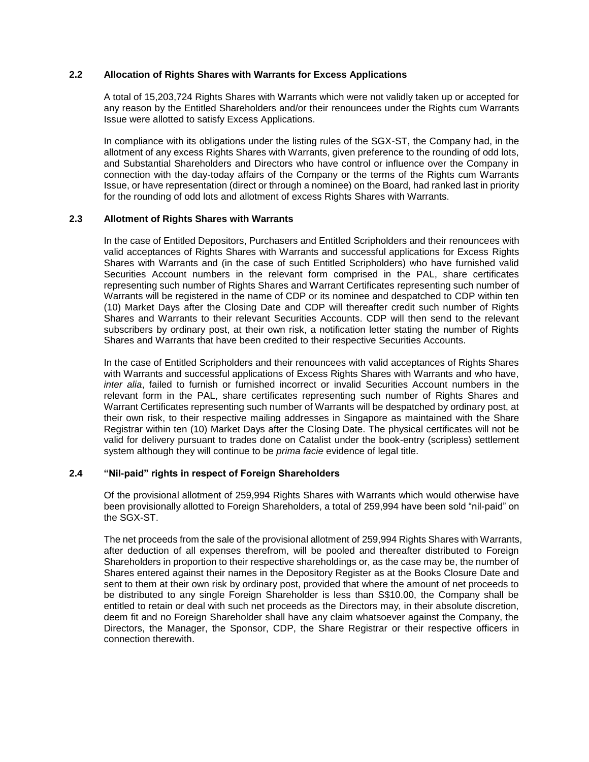### **2.2 Allocation of Rights Shares with Warrants for Excess Applications**

A total of 15,203,724 Rights Shares with Warrants which were not validly taken up or accepted for any reason by the Entitled Shareholders and/or their renouncees under the Rights cum Warrants Issue were allotted to satisfy Excess Applications.

In compliance with its obligations under the listing rules of the SGX-ST, the Company had, in the allotment of any excess Rights Shares with Warrants, given preference to the rounding of odd lots, and Substantial Shareholders and Directors who have control or influence over the Company in connection with the day-today affairs of the Company or the terms of the Rights cum Warrants Issue, or have representation (direct or through a nominee) on the Board, had ranked last in priority for the rounding of odd lots and allotment of excess Rights Shares with Warrants.

## **2.3 Allotment of Rights Shares with Warrants**

In the case of Entitled Depositors, Purchasers and Entitled Scripholders and their renouncees with valid acceptances of Rights Shares with Warrants and successful applications for Excess Rights Shares with Warrants and (in the case of such Entitled Scripholders) who have furnished valid Securities Account numbers in the relevant form comprised in the PAL, share certificates representing such number of Rights Shares and Warrant Certificates representing such number of Warrants will be registered in the name of CDP or its nominee and despatched to CDP within ten (10) Market Days after the Closing Date and CDP will thereafter credit such number of Rights Shares and Warrants to their relevant Securities Accounts. CDP will then send to the relevant subscribers by ordinary post, at their own risk, a notification letter stating the number of Rights Shares and Warrants that have been credited to their respective Securities Accounts.

In the case of Entitled Scripholders and their renouncees with valid acceptances of Rights Shares with Warrants and successful applications of Excess Rights Shares with Warrants and who have, *inter alia*, failed to furnish or furnished incorrect or invalid Securities Account numbers in the relevant form in the PAL, share certificates representing such number of Rights Shares and Warrant Certificates representing such number of Warrants will be despatched by ordinary post, at their own risk, to their respective mailing addresses in Singapore as maintained with the Share Registrar within ten (10) Market Days after the Closing Date. The physical certificates will not be valid for delivery pursuant to trades done on Catalist under the book-entry (scripless) settlement system although they will continue to be *prima facie* evidence of legal title.

#### **2.4 "Nil-paid" rights in respect of Foreign Shareholders**

Of the provisional allotment of 259,994 Rights Shares with Warrants which would otherwise have been provisionally allotted to Foreign Shareholders, a total of 259,994 have been sold "nil-paid" on the SGX-ST.

The net proceeds from the sale of the provisional allotment of 259,994 Rights Shares with Warrants, after deduction of all expenses therefrom, will be pooled and thereafter distributed to Foreign Shareholders in proportion to their respective shareholdings or, as the case may be, the number of Shares entered against their names in the Depository Register as at the Books Closure Date and sent to them at their own risk by ordinary post, provided that where the amount of net proceeds to be distributed to any single Foreign Shareholder is less than S\$10.00, the Company shall be entitled to retain or deal with such net proceeds as the Directors may, in their absolute discretion, deem fit and no Foreign Shareholder shall have any claim whatsoever against the Company, the Directors, the Manager, the Sponsor, CDP, the Share Registrar or their respective officers in connection therewith.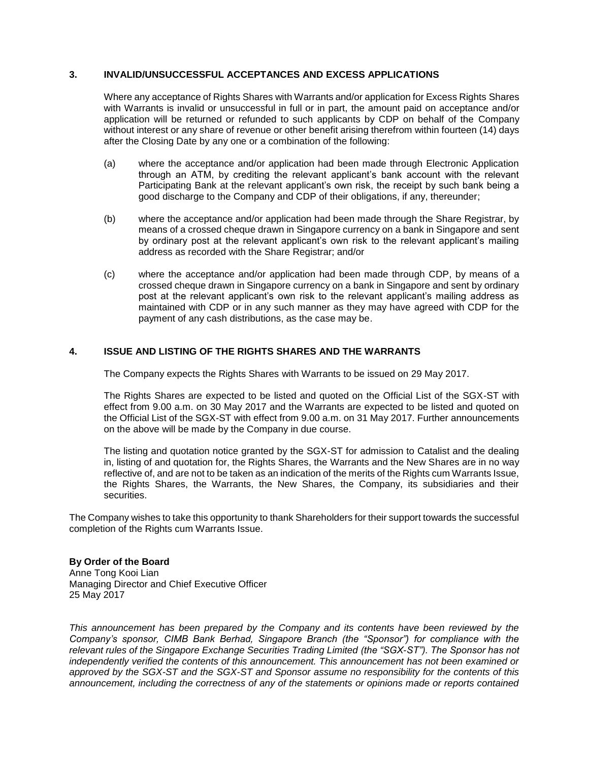### **3. INVALID/UNSUCCESSFUL ACCEPTANCES AND EXCESS APPLICATIONS**

Where any acceptance of Rights Shares with Warrants and/or application for Excess Rights Shares with Warrants is invalid or unsuccessful in full or in part, the amount paid on acceptance and/or application will be returned or refunded to such applicants by CDP on behalf of the Company without interest or any share of revenue or other benefit arising therefrom within fourteen (14) days after the Closing Date by any one or a combination of the following:

- (a) where the acceptance and/or application had been made through Electronic Application through an ATM, by crediting the relevant applicant's bank account with the relevant Participating Bank at the relevant applicant's own risk, the receipt by such bank being a good discharge to the Company and CDP of their obligations, if any, thereunder;
- (b) where the acceptance and/or application had been made through the Share Registrar, by means of a crossed cheque drawn in Singapore currency on a bank in Singapore and sent by ordinary post at the relevant applicant's own risk to the relevant applicant's mailing address as recorded with the Share Registrar; and/or
- (c) where the acceptance and/or application had been made through CDP, by means of a crossed cheque drawn in Singapore currency on a bank in Singapore and sent by ordinary post at the relevant applicant's own risk to the relevant applicant's mailing address as maintained with CDP or in any such manner as they may have agreed with CDP for the payment of any cash distributions, as the case may be.

## **4. ISSUE AND LISTING OF THE RIGHTS SHARES AND THE WARRANTS**

The Company expects the Rights Shares with Warrants to be issued on 29 May 2017.

The Rights Shares are expected to be listed and quoted on the Official List of the SGX-ST with effect from 9.00 a.m. on 30 May 2017 and the Warrants are expected to be listed and quoted on the Official List of the SGX-ST with effect from 9.00 a.m. on 31 May 2017. Further announcements on the above will be made by the Company in due course.

The listing and quotation notice granted by the SGX-ST for admission to Catalist and the dealing in, listing of and quotation for, the Rights Shares, the Warrants and the New Shares are in no way reflective of, and are not to be taken as an indication of the merits of the Rights cum Warrants Issue, the Rights Shares, the Warrants, the New Shares, the Company, its subsidiaries and their securities.

The Company wishes to take this opportunity to thank Shareholders for their support towards the successful completion of the Rights cum Warrants Issue.

#### **By Order of the Board**

Anne Tong Kooi Lian Managing Director and Chief Executive Officer 25 May 2017

*This announcement has been prepared by the Company and its contents have been reviewed by the Company's sponsor, CIMB Bank Berhad, Singapore Branch (the "Sponsor") for compliance with the relevant rules of the Singapore Exchange Securities Trading Limited (the "SGX-ST"). The Sponsor has not independently verified the contents of this announcement. This announcement has not been examined or approved by the SGX-ST and the SGX-ST and Sponsor assume no responsibility for the contents of this announcement, including the correctness of any of the statements or opinions made or reports contained*